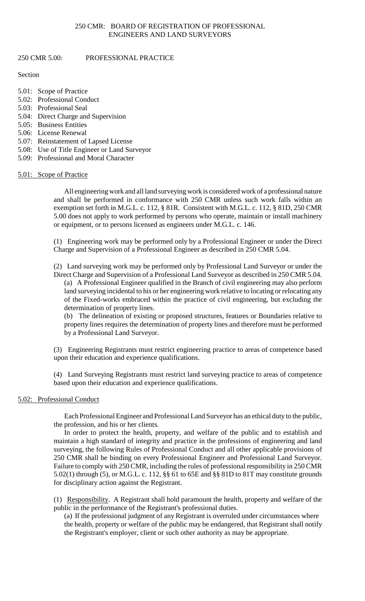### 250 CMR 5.00: PROFESSIONAL PRACTICE

Section

- 5.01: Scope of Practice
- 5.02: Professional Conduct
- 5.03: Professional Seal
- 5.04: Direct Charge and Supervision
- 5.05: Business Entities
- 5.06: License Renewal
- 5.07: Reinstatement of Lapsed License
- 5.08: Use of Title Engineer or Land Surveyor
- 5.09: Professional and Moral Character

### 5.01: Scope of Practice

All engineering work and all land surveying work is considered work of a professional nature and shall be performed in conformance with 250 CMR unless such work falls within an exemption set forth in M.G.L. c. 112, § 81R. Consistent with M.G.L. c. 112, § 81D, 250 CMR 5.00 does not apply to work performed by persons who operate, maintain or install machinery or equipment, or to persons licensed as engineers under M.G.L. c. 146.

(1) Engineering work may be performed only by a Professional Engineer or under the Direct Charge and Supervision of a Professional Engineer as described in 250 CMR 5.04.

 (2) Land surveying work may be performed only by Professional Land Surveyor or under the Direct Charge and Supervision of a Professional Land Surveyor as described in 250 CMR 5.04.

 (a) A Professional Engineer qualified in the Branch of civil engineering may also perform land surveying incidental to his or her engineering work relative to locating or relocating any of the Fixed-works embraced within the practice of civil engineering, but excluding the determination of property lines.

(b) The delineation of existing or proposed structures, features or Boundaries relative to property lines requires the determination of property lines and therefore must be performed by a Professional Land Surveyor.

(3) Engineering Registrants must restrict engineering practice to areas of competence based upon their education and experience qualifications.

(4) Land Surveying Registrants must restrict land surveying practice to areas of competence based upon their education and experience qualifications.

# 5.02: Professional Conduct

Each Professional Engineer and Professional Land Surveyor has an ethical duty to the public, the profession, and his or her clients.

 In order to protect the health, property, and welfare of the public and to establish and surveying, the following Rules of Professional Conduct and all other applicable provisions of Failure to comply with 250 CMR, including the rules of professional responsibility in 250 CMR maintain a high standard of integrity and practice in the professions of engineering and land 250 CMR shall be binding on every Professional Engineer and Professional Land Surveyor. 5.02(1) through (5), or M.G.L. c. 112, §§ 61 to 65E and §§ 81D to 81T may constitute grounds for disciplinary action against the Registrant.

(1) Responsibility. A Registrant shall hold paramount the health, property and welfare of the public in the performance of the Registrant's professional duties.

(a) If the professional judgment of any Registrant is overruled under circumstances where the health, property or welfare of the public may be endangered, that Registrant shall notify the Registrant's employer, client or such other authority as may be appropriate.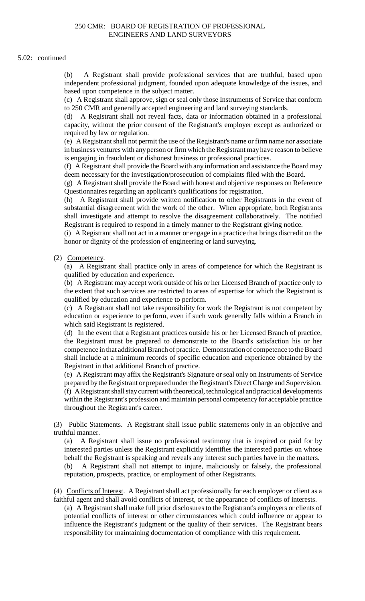#### 5.02: continued

(b) A Registrant shall provide professional services that are truthful, based upon independent professional judgment, founded upon adequate knowledge of the issues, and based upon competence in the subject matter.

(c) A Registrant shall approve, sign or seal only those Instruments of Service that conform to 250 CMR and generally accepted engineering and land surveying standards.

(d) A Registrant shall not reveal facts, data or information obtained in a professional capacity, without the prior consent of the Registrant's employer except as authorized or required by law or regulation.

(e) A Registrant shall not permit the use of the Registrant's name or firm name nor associate in business ventures with any person or firm which the Registrant may have reason to believe is engaging in fraudulent or dishonest business or professional practices.

(f) A Registrant shall provide the Board with any information and assistance the Board may deem necessary for the investigation/prosecution of complaints filed with the Board.

(g) A Registrant shall provide the Board with honest and objective responses on Reference Questionnaires regarding an applicant's qualifications for registration.

(h) A Registrant shall provide written notification to other Registrants in the event of substantial disagreement with the work of the other. When appropriate, both Registrants shall investigate and attempt to resolve the disagreement collaboratively. The notified Registrant is required to respond in a timely manner to the Registrant giving notice.

(i) A Registrant shall not act in a manner or engage in a practice that brings discredit on the honor or dignity of the profession of engineering or land surveying.

#### (2) Competency.

(a) A Registrant shall practice only in areas of competence for which the Registrant is qualified by education and experience.

 (b) A Registrant may accept work outside of his or her Licensed Branch of practice only to the extent that such services are restricted to areas of expertise for which the Registrant is qualified by education and experience to perform.

 (c) A Registrant shall not take responsibility for work the Registrant is not competent by education or experience to perform, even if such work generally falls within a Branch in which said Registrant is registered.

(d) In the event that a Registrant practices outside his or her Licensed Branch of practice, the Registrant must be prepared to demonstrate to the Board's satisfaction his or her competence in that additional Branch of practice. Demonstration of competence to the Board shall include at a minimum records of specific education and experience obtained by the Registrant in that additional Branch of practice.

(e) A Registrant may affix the Registrant's Signature or seal only on Instruments of Service prepared by the Registrant or prepared under the Registrant's Direct Charge and Supervision. (f) A Registrant shall stay current with theoretical, technological and practical developments within the Registrant's profession and maintain personal competency for acceptable practice throughout the Registrant's career.

(3) Public Statements. A Registrant shall issue public statements only in an objective and truthful manner.

(a) A Registrant shall issue no professional testimony that is inspired or paid for by interested parties unless the Registrant explicitly identifies the interested parties on whose behalf the Registrant is speaking and reveals any interest such parties have in the matters.

(b) A Registrant shall not attempt to injure, maliciously or falsely, the professional reputation, prospects, practice, or employment of other Registrants.

 (4) Conflicts of Interest. A Registrant shall act professionally for each employer or client as a faithful agent and shall avoid conflicts of interest, or the appearance of conflicts of interests.

 (a) A Registrant shall make full prior disclosures to the Registrant's employers or clients of potential conflicts of interest or other circumstances which could influence or appear to influence the Registrant's judgment or the quality of their services. The Registrant bears responsibility for maintaining documentation of compliance with this requirement.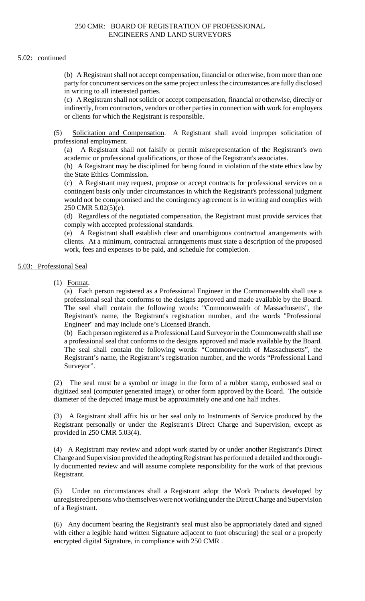### 250 CMR: BOARD OF REGISTRATION OF PROFESSIONAL ENGINEERS AND LAND SURVEYORS

#### 5.02: continued

 (b) A Registrant shall not accept compensation, financial or otherwise, from more than one party for concurrent services on the same project unless the circumstances are fully disclosed in writing to all interested parties.

(c) A Registrant shall not solicit or accept compensation, financial or otherwise, directly or indirectly, from contractors, vendors or other parties in connection with work for employers or clients for which the Registrant is responsible.

(5) Solicitation and Compensation. A Registrant shall avoid improper solicitation of professional employment.

 $(a)$ A Registrant shall not falsify or permit misrepresentation of the Registrant's own academic or professional qualifications, or those of the Registrant's associates.

(b) A Registrant may be disciplined for being found in violation of the state ethics law by the State Ethics Commission.

 would not be compromised and the contingency agreement is in writing and complies with (c) A Registrant may request, propose or accept contracts for professional services on a contingent basis only under circumstances in which the Registrant's professional judgment 250 CMR 5.02(5)(e).

(d) Regardless of the negotiated compensation, the Registrant must provide services that comply with accepted professional standards.

(e) A Registrant shall establish clear and unambiguous contractual arrangements with clients. At a minimum, contractual arrangements must state a description of the proposed work, fees and expenses to be paid, and schedule for completion.

### 5.03: Professional Seal

(1) Format.

(a) Each person registered as a Professional Engineer in the Commonwealth shall use a professional seal that conforms to the designs approved and made available by the Board. The seal shall contain the following words: "Commonwealth of Massachusetts", the Registrant's name, the Registrant's registration number, and the words "Professional Engineer" and may include one's Licensed Branch.

(b) Each person registered as a Professional Land Surveyor in the Commonwealth shall use a professional seal that conforms to the designs approved and made available by the Board. The seal shall contain the following words: "Commonwealth of Massachusetts", the Registrant's name, the Registrant's registration number, and the words "Professional Land Surveyor".

(2) The seal must be a symbol or image in the form of a rubber stamp, embossed seal or digitized seal (computer generated image), or other form approved by the Board. The outside diameter of the depicted image must be approximately one and one half inches.

(3) A Registrant shall affix his or her seal only to Instruments of Service produced by the Registrant personally or under the Registrant's Direct Charge and Supervision, except as provided in 250 CMR 5.03(4).

(4) A Registrant may review and adopt work started by or under another Registrant's Direct Charge and Supervision provided the adopting Registrant has performed a detailed and thoroughly documented review and will assume complete responsibility for the work of that previous Registrant.

(5) Under no circumstances shall a Registrant adopt the Work Products developed by unregistered persons who themselves were not working under the Direct Charge and Supervision of a Registrant.

(6) Any document bearing the Registrant's seal must also be appropriately dated and signed with either a legible hand written Signature adjacent to (not obscuring) the seal or a properly encrypted digital Signature, in compliance with 250 CMR .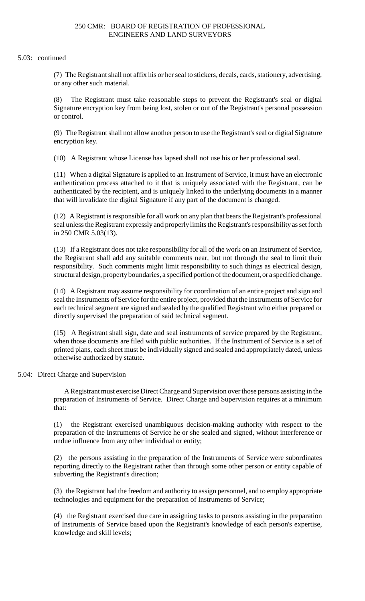5.03: continued

 (7) The Registrant shall not affix his or her seal to stickers, decals, cards, stationery, advertising, or any other such material.

The Registrant must take reasonable steps to prevent the Registrant's seal or digital Signature encryption key from being lost, stolen or out of the Registrant's personal possession or control.

(9) The Registrant shall not allow another person to use the Registrant's seal or digital Signature encryption key.

(10) A Registrant whose License has lapsed shall not use his or her professional seal.

 (11) When a digital Signature is applied to an Instrument of Service, it must have an electronic authentication process attached to it that is uniquely associated with the Registrant, can be authenticated by the recipient, and is uniquely linked to the underlying documents in a manner that will invalidate the digital Signature if any part of the document is changed.

(12) A Registrant is responsible for all work on any plan that bears the Registrant's professional seal unless the Registrant expressly and properly limits the Registrant's responsibility as set forth in 250 CMR 5.03(13).

(13) If a Registrant does not take responsibility for all of the work on an Instrument of Service, the Registrant shall add any suitable comments near, but not through the seal to limit their responsibility. Such comments might limit responsibility to such things as electrical design, structural design, property boundaries, a specified portion of the document, or a specified change.

(14) A Registrant may assume responsibility for coordination of an entire project and sign and seal the Instruments of Service for the entire project, provided that the Instruments of Service for each technical segment are signed and sealed by the qualified Registrant who either prepared or directly supervised the preparation of said technical segment.

(15) A Registrant shall sign, date and seal instruments of service prepared by the Registrant, when those documents are filed with public authorities. If the Instrument of Service is a set of printed plans, each sheet must be individually signed and sealed and appropriately dated, unless otherwise authorized by statute.

5.04: Direct Charge and Supervision

A Registrant must exercise Direct Charge and Supervision over those persons assisting in the preparation of Instruments of Service. Direct Charge and Supervision requires at a minimum that:

(1) the Registrant exercised unambiguous decision-making authority with respect to the preparation of the Instruments of Service he or she sealed and signed, without interference or undue influence from any other individual or entity;

(2) the persons assisting in the preparation of the Instruments of Service were subordinates reporting directly to the Registrant rather than through some other person or entity capable of subverting the Registrant's direction;

(3) the Registrant had the freedom and authority to assign personnel, and to employ appropriate technologies and equipment for the preparation of Instruments of Service;

(4) the Registrant exercised due care in assigning tasks to persons assisting in the preparation of Instruments of Service based upon the Registrant's knowledge of each person's expertise, knowledge and skill levels;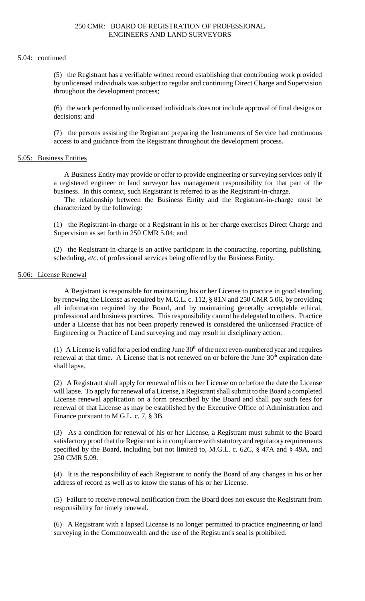### 250 CMR: BOARD OF REGISTRATION OF PROFESSIONAL ENGINEERS AND LAND SURVEYORS

#### 5.04: continued

(5) the Registrant has a verifiable written record establishing that contributing work provided by unlicensed individuals was subject to regular and continuing Direct Charge and Supervision throughout the development process;

(6) the work performed by unlicensed individuals does not include approval of final designs or decisions; and

(7) the persons assisting the Registrant preparing the Instruments of Service had continuous access to and guidance from the Registrant throughout the development process.

### 5.05: Business Entities

 A Business Entity may provide or offer to provide engineering or surveying services only if a registered engineer or land surveyor has management responsibility for that part of the business. In this context, such Registrant is referred to as the Registrant-in-charge.

The relationship between the Business Entity and the Registrant-in-charge must be characterized by the following:

(1) the Registrant-in-charge or a Registrant in his or her charge exercises Direct Charge and Supervision as set forth in 250 CMR 5.04; and

(2) the Registrant-in-charge is an active participant in the contracting, reporting, publishing, scheduling, *etc*. of professional services being offered by the Business Entity.

### 5.06: License Renewal

 by renewing the License as required by M.G.L. c. 112, § 81N and 250 CMR 5.06, by providing A Registrant is responsible for maintaining his or her License to practice in good standing all information required by the Board, and by maintaining generally acceptable ethical, professional and business practices. This responsibility cannot be delegated to others. Practice under a License that has not been properly renewed is considered the unlicensed Practice of Engineering or Practice of Land surveying and may result in disciplinary action.

(1) A License is valid for a period ending June  $30<sup>th</sup>$  of the next even-numbered year and requires renewal at that time. A License that is not renewed on or before the June  $30<sup>th</sup>$  expiration date shall lapse.

 License renewal application on a form prescribed by the Board and shall pay such fees for (2) A Registrant shall apply for renewal of his or her License on or before the date the License will lapse. To apply for renewal of a License, a Registrant shall submit to the Board a completed renewal of that License as may be established by the Executive Office of Administration and Finance pursuant to M.G.L. c. 7, § 3B.

(3) As a condition for renewal of his or her License, a Registrant must submit to the Board satisfactory proof that the Registrant is in compliance with statutory and regulatory requirements specified by the Board, including but not limited to, M.G.L. c. 62C, § 47A and § 49A, and 250 CMR 5.09.

(4) It is the responsibility of each Registrant to notify the Board of any changes in his or her address of record as well as to know the status of his or her License.

(5) Failure to receive renewal notification from the Board does not excuse the Registrant from responsibility for timely renewal.

(6) A Registrant with a lapsed License is no longer permitted to practice engineering or land surveying in the Commonwealth and the use of the Registrant's seal is prohibited.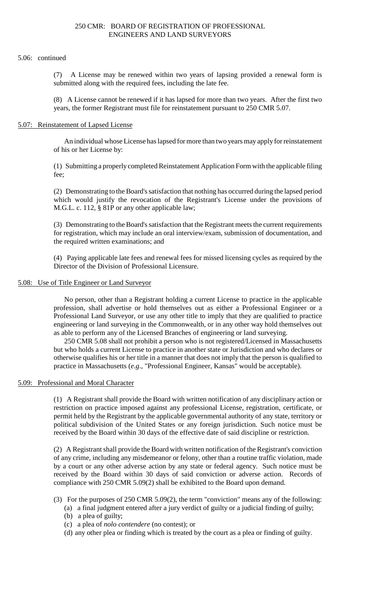### 250 CMR: BOARD OF REGISTRATION OF PROFESSIONAL ENGINEERS AND LAND SURVEYORS

#### 5.06: continued

(7) A License may be renewed within two years of lapsing provided a renewal form is submitted along with the required fees, including the late fee.

 (8) A License cannot be renewed if it has lapsed for more than two years. After the first two years, the former Registrant must file for reinstatement pursuant to 250 CMR 5.07.

### 5.07: Reinstatement of Lapsed License

An individual whose License has lapsed for more than two years may apply for reinstatement of his or her License by:

(1) Submitting a properly completed Reinstatement Application Form with the applicable filing fee;

(2) Demonstrating to the Board's satisfaction that nothing has occurred during the lapsed period which would justify the revocation of the Registrant's License under the provisions of M.G.L. c. 112, § 81P or any other applicable law;

 (3) Demonstrating to the Board's satisfaction that the Registrant meets the current requirements for registration, which may include an oral interview/exam, submission of documentation, and the required written examinations; and

(4) Paying applicable late fees and renewal fees for missed licensing cycles as required by the Director of the Division of Professional Licensure.

#### 5.08: Use of Title Engineer or Land Surveyor

No person, other than a Registrant holding a current License to practice in the applicable profession, shall advertise or hold themselves out as either a Professional Engineer or a Professional Land Surveyor, or use any other title to imply that they are qualified to practice engineering or land surveying in the Commonwealth, or in any other way hold themselves out as able to perform any of the Licensed Branches of engineering or land surveying.

 but who holds a current License to practice in another state or Jurisdiction and who declares or otherwise qualifies his or her title in a manner that does not imply that the person is qualified to 250 CMR 5.08 shall not prohibit a person who is not registered/Licensed in Massachusetts practice in Massachusetts (*e.g*., "Professional Engineer, Kansas" would be acceptable).

#### 5.09: Professional and Moral Character

 political subdivision of the United States or any foreign jurisdiction. Such notice must be (1) A Registrant shall provide the Board with written notification of any disciplinary action or restriction on practice imposed against any professional License, registration, certificate, or permit held by the Registrant by the applicable governmental authority of any state, territory or received by the Board within 30 days of the effective date of said discipline or restriction.

 by a court or any other adverse action by any state or federal agency. Such notice must be (2) A Registrant shall provide the Board with written notification of the Registrant's conviction of any crime, including any misdemeanor or felony, other than a routine traffic violation, made received by the Board within 30 days of said conviction or adverse action. Records of compliance with 250 CMR 5.09(2) shall be exhibited to the Board upon demand.

- (3) For the purposes of 250 CMR 5.09(2), the term "conviction" means any of the following: (a) a final judgment entered after a jury verdict of guilty or a judicial finding of guilty;
	- (b) a plea of guilty;
	- (c) a plea of *nolo contendere* (no contest); or
	- (d) any other plea or finding which is treated by the court as a plea or finding of guilty.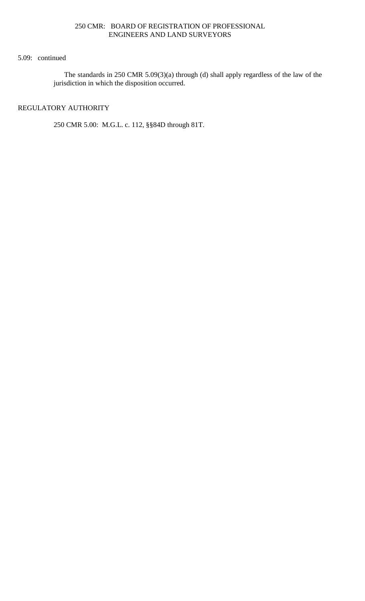# 250 CMR: BOARD OF REGISTRATION OF PROFESSIONAL ENGINEERS AND LAND SURVEYORS

### 5.09: continued

The standards in 250 CMR 5.09(3)(a) through (d) shall apply regardless of the law of the jurisdiction in which the disposition occurred.

# REGULATORY AUTHORITY

250 CMR 5.00: M.G.L. c. 112, §§84D through 81T.